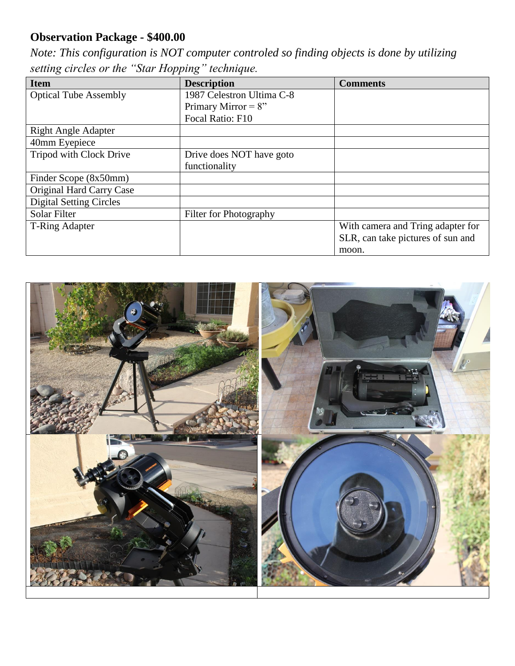## **Observation Package - \$400.00**

*Note: This configuration is NOT computer controled so finding objects is done by utilizing setting circles or the "Star Hopping" technique.*

| <b>Item</b>                    | <b>Description</b>        | <b>Comments</b>                   |
|--------------------------------|---------------------------|-----------------------------------|
| <b>Optical Tube Assembly</b>   | 1987 Celestron Ultima C-8 |                                   |
|                                | Primary Mirror = $8$ "    |                                   |
|                                | Focal Ratio: F10          |                                   |
| <b>Right Angle Adapter</b>     |                           |                                   |
| 40mm Eyepiece                  |                           |                                   |
| Tripod with Clock Drive        | Drive does NOT have goto  |                                   |
|                                | functionality             |                                   |
| Finder Scope (8x50mm)          |                           |                                   |
| Original Hard Carry Case       |                           |                                   |
| <b>Digital Setting Circles</b> |                           |                                   |
| Solar Filter                   | Filter for Photography    |                                   |
| T-Ring Adapter                 |                           | With camera and Tring adapter for |
|                                |                           | SLR, can take pictures of sun and |
|                                |                           | moon.                             |

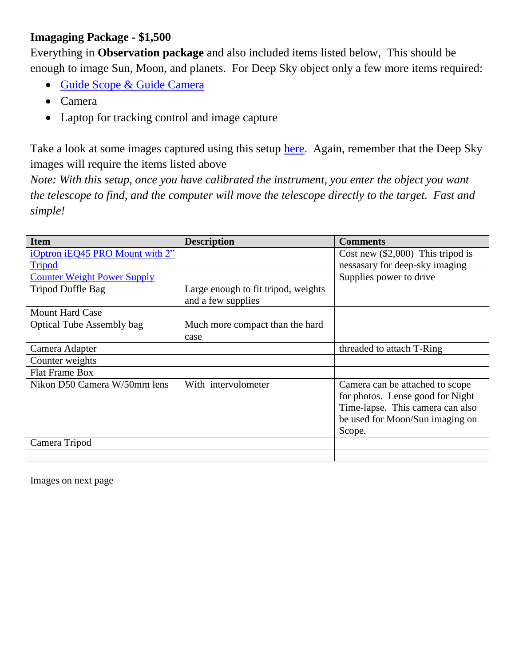## **Imagaging Package - \$1,500**

Everything in **Observation package** and also included items listed below, This should be enough to image Sun, Moon, and planets. For Deep Sky object only a few more items required:

- Guide Scope [& Guide Camera](https://www.telescope.com/Orion/Astrophotography/Autoguiding-Solutions/rc/2160/pc/4/60.uts)
- Camera
- Laptop for tracking control and image capture

Take a look at some images captured using this setup [here.](http://www.artcentrics.com/Best_PhotoGraphs/AstroPhotography/AstroPhotography.htm) Again, remember that the Deep Sky images will require the items listed above

*Note: With this setup, once you have calibrated the instrument, you enter the object you want the telescope to find, and the computer will move the telescope directly to the target. Fast and simple!*

| <b>Item</b>                        | <b>Description</b>                                        | <b>Comments</b>                                                                                                                                      |
|------------------------------------|-----------------------------------------------------------|------------------------------------------------------------------------------------------------------------------------------------------------------|
| iOptron iEQ45 PRO Mount with 2"    |                                                           | Cost new $(\$2,000)$ This tripod is                                                                                                                  |
| <b>Tripod</b>                      |                                                           | nessasary for deep-sky imaging                                                                                                                       |
| <b>Counter Weight Power Supply</b> |                                                           | Supplies power to drive                                                                                                                              |
| Tripod Duffle Bag                  | Large enough to fit tripod, weights<br>and a few supplies |                                                                                                                                                      |
| <b>Mount Hard Case</b>             |                                                           |                                                                                                                                                      |
| <b>Optical Tube Assembly bag</b>   | Much more compact than the hard                           |                                                                                                                                                      |
|                                    | case                                                      |                                                                                                                                                      |
| Camera Adapter                     |                                                           | threaded to attach T-Ring                                                                                                                            |
| Counter weights                    |                                                           |                                                                                                                                                      |
| <b>Flat Frame Box</b>              |                                                           |                                                                                                                                                      |
| Nikon D50 Camera W/50mm lens       | With intervolometer                                       | Camera can be attached to scope<br>for photos. Lense good for Night<br>Time-lapse. This camera can also<br>be used for Moon/Sun imaging on<br>Scope. |
| Camera Tripod                      |                                                           |                                                                                                                                                      |
|                                    |                                                           |                                                                                                                                                      |

Images on next page